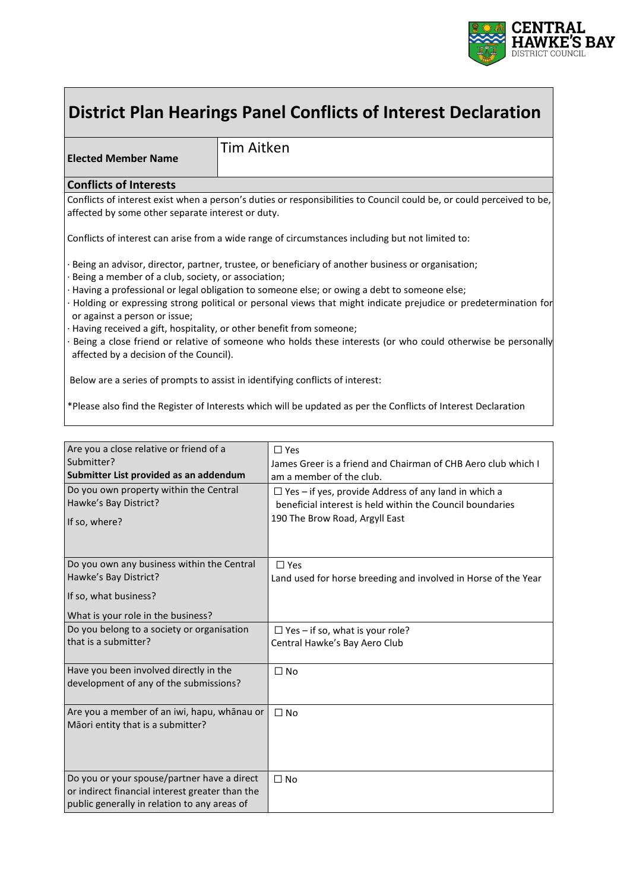

# **District Plan Hearings Panel Conflicts of Interest Declaration**

**Elected Member Name**

Tim Aitken

#### **Conflicts of Interests**

Conflicts of interest exist when a person's duties or responsibilities to Council could be, or could perceived to be, affected by some other separate interest or duty.

Conflicts of interest can arise from a wide range of circumstances including but not limited to:

Being an advisor, director, partner, trustee, or beneficiary of another business or organisation;

- · Being a member of a club, society, or association;
- · Having a professional or legal obligation to someone else; or owing a debt to someone else;
- · Holding or expressing strong political or personal views that might indicate prejudice or predetermination for or against a person or issue;
- Having received a gift, hospitality, or other benefit from someone;

· Being a close friend or relative of someone who holds these interests (or who could otherwise be personally affected by a decision of the Council).

Below are a series of prompts to assist in identifying conflicts of interest:

\*Please also find the Register of Interests which will be updated as per the Conflicts of Interest Declaration

| Are you a close relative or friend of a<br>Submitter?<br>Submitter List provided as an addendum<br>Do you own property within the Central<br>Hawke's Bay District?<br>If so, where? | $\Box$ Yes<br>James Greer is a friend and Chairman of CHB Aero club which I<br>am a member of the club.<br>$\Box$ Yes – if yes, provide Address of any land in which a<br>beneficial interest is held within the Council boundaries<br>190 The Brow Road, Argyll East |
|-------------------------------------------------------------------------------------------------------------------------------------------------------------------------------------|-----------------------------------------------------------------------------------------------------------------------------------------------------------------------------------------------------------------------------------------------------------------------|
|                                                                                                                                                                                     |                                                                                                                                                                                                                                                                       |
| Do you own any business within the Central<br>Hawke's Bay District?<br>If so, what business?<br>What is your role in the business?                                                  | $\Box$ Yes<br>Land used for horse breeding and involved in Horse of the Year                                                                                                                                                                                          |
| Do you belong to a society or organisation<br>that is a submitter?                                                                                                                  | $\Box$ Yes – if so, what is your role?<br>Central Hawke's Bay Aero Club                                                                                                                                                                                               |
| Have you been involved directly in the<br>development of any of the submissions?                                                                                                    | $\Box$ No                                                                                                                                                                                                                                                             |
| Are you a member of an iwi, hapu, whānau or<br>Māori entity that is a submitter?                                                                                                    | $\Box$ No                                                                                                                                                                                                                                                             |
| Do you or your spouse/partner have a direct<br>or indirect financial interest greater than the<br>public generally in relation to any areas of                                      | $\Box$ No                                                                                                                                                                                                                                                             |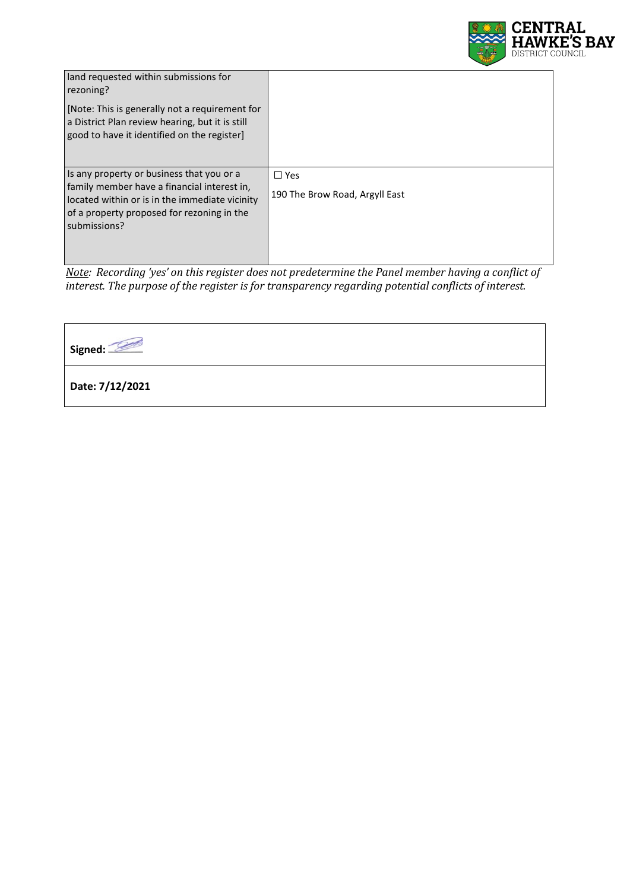

| land requested within submissions for<br>rezoning?<br>[Note: This is generally not a requirement for<br>a District Plan review hearing, but it is still<br>good to have it identified on the register]   |                                              |
|----------------------------------------------------------------------------------------------------------------------------------------------------------------------------------------------------------|----------------------------------------------|
| Is any property or business that you or a<br>family member have a financial interest in,<br>located within or is in the immediate vicinity<br>of a property proposed for rezoning in the<br>submissions? | $\Box$ Yes<br>190 The Brow Road, Argyll East |

*Note: Recording 'yes' on this register does not predetermine the Panel member having a conflict of interest. The purpose of the register is for transparency regarding potential conflicts of interest.*